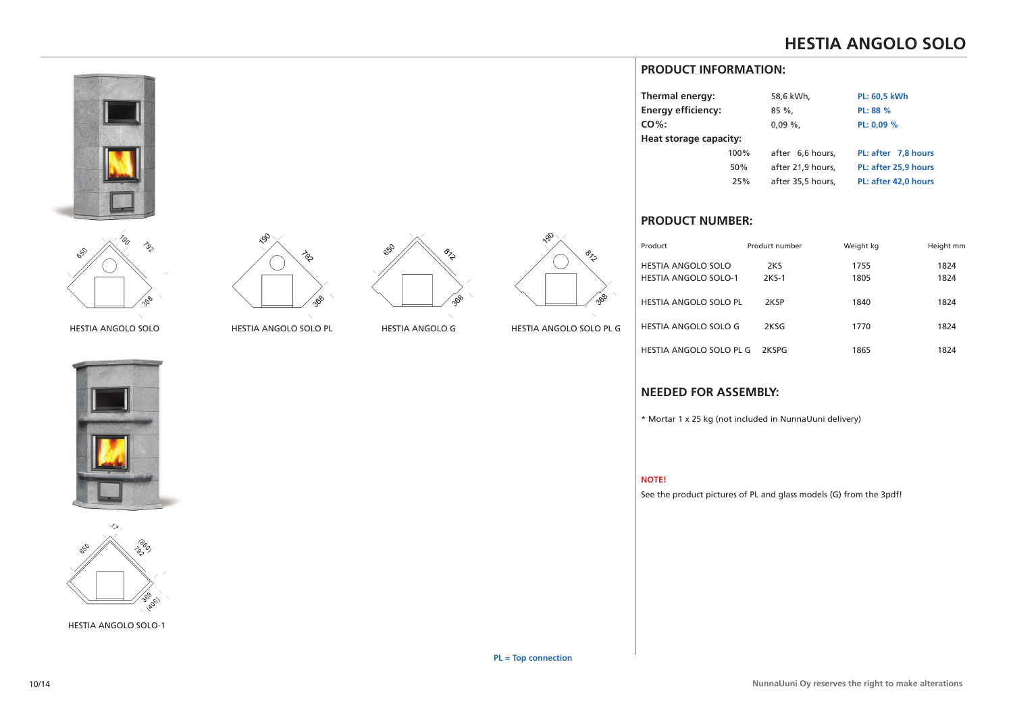# **HESTIA ANGOLO SOLO**





HESTIA ANGOLO SOLO





HESTIA ANGOLO SOLO-1







HESTIA ANGOLO SOLO PL HESTIA ANGOLO G HESTIA ANGOLO SOLO PL G

# **PRODUCT INFORMATION:**

| Thermal energy:           |      | 58,6 kWh,         | <b>PL: 60,5 kWh</b>  |
|---------------------------|------|-------------------|----------------------|
| <b>Energy efficiency:</b> |      | $85\%$            | PL: 88 %             |
| $CO\%$ :                  |      | $0.09\%$          | PL: 0,09 %           |
| Heat storage capacity:    |      |                   |                      |
|                           | 100% | after 6.6 hours.  | PL: after 7.8 hours  |
|                           | 50%  | after 21,9 hours, | PL: after 25.9 hours |
|                           | 25%  | after 35,5 hours, | PL: after 42,0 hours |
|                           |      |                   |                      |

## **PRODUCT NUMBER:**

| Product                     | Product number | Weight kg | Height mm |
|-----------------------------|----------------|-----------|-----------|
| HESTIA ANGOLO SOLO          | 2KS            | 1755      | 1824      |
| <b>HESTIA ANGOLO SOLO-1</b> | 2KS-1          | 1805      | 1824      |
| HESTIA ANGOLO SOLO PL       | 2KSP           | 1840      | 1824      |
| HESTIA ANGOLO SOLO G        | 2KSG           | 1770      | 1824      |
| HESTIA ANGOLO SOLO PL G     | <b>2KSPG</b>   | 1865      | 1824      |

## **NEEDED FOR ASSEMBLY:**

\* Mortar 1 x 25 kg (not included in NunnaUuni delivery)

#### **NOTE!**

See the product pictures of PL and glass models (G) from the 3pdf!